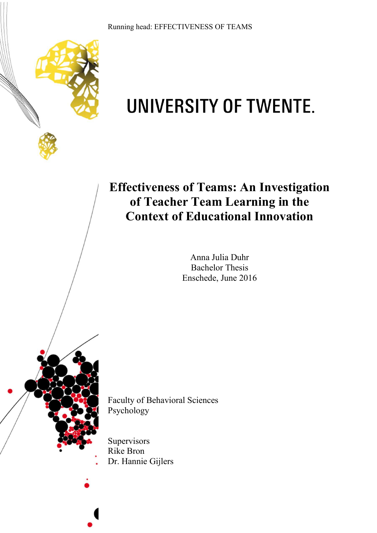Running head: EFFECTIVENESS OF TEAMS



# UNIVERSITY OF TWENTE.

# **Effectiveness of Teams: An Investigation of Teacher Team Learning in the Context of Educational Innovation**

Anna Julia Duhr Bachelor Thesis Enschede, June 2016

Faculty of Behavioral Sciences Psychology

**Supervisors** Rike Bron Dr. Hannie Gijlers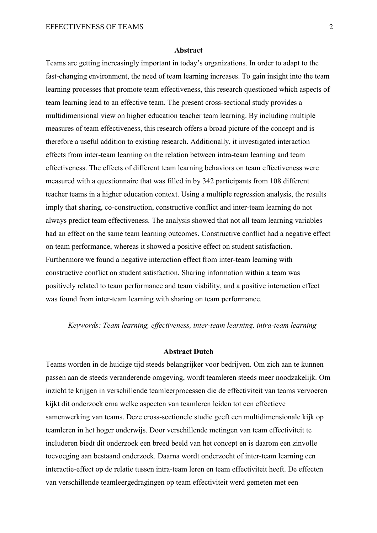#### **Abstract**

Teams are getting increasingly important in today's organizations. In order to adapt to the fast-changing environment, the need of team learning increases. To gain insight into the team learning processes that promote team effectiveness, this research questioned which aspects of team learning lead to an effective team. The present cross-sectional study provides a multidimensional view on higher education teacher team learning. By including multiple measures of team effectiveness, this research offers a broad picture of the concept and is therefore a useful addition to existing research. Additionally, it investigated interaction effects from inter-team learning on the relation between intra-team learning and team effectiveness. The effects of different team learning behaviors on team effectiveness were measured with a questionnaire that was filled in by 342 participants from 108 different teacher teams in a higher education context. Using a multiple regression analysis, the results imply that sharing, co-construction, constructive conflict and inter-team learning do not always predict team effectiveness. The analysis showed that not all team learning variables had an effect on the same team learning outcomes. Constructive conflict had a negative effect on team performance, whereas it showed a positive effect on student satisfaction. Furthermore we found a negative interaction effect from inter-team learning with constructive conflict on student satisfaction. Sharing information within a team was positively related to team performance and team viability, and a positive interaction effect was found from inter-team learning with sharing on team performance.

#### *Keywords: Team learning, effectiveness, inter-team learning, intra-team learning*

#### **Abstract Dutch**

Teams worden in de huidige tijd steeds belangrijker voor bedrijven. Om zich aan te kunnen passen aan de steeds veranderende omgeving, wordt teamleren steeds meer noodzakelijk. Om inzicht te krijgen in verschillende teamleerprocessen die de effectiviteit van teams vervoeren kijkt dit onderzoek erna welke aspecten van teamleren leiden tot een effectieve samenwerking van teams. Deze cross-sectionele studie geeft een multidimensionale kijk op teamleren in het hoger onderwijs. Door verschillende metingen van team effectiviteit te includeren biedt dit onderzoek een breed beeld van het concept en is daarom een zinvolle toevoeging aan bestaand onderzoek. Daarna wordt onderzocht of inter-team learning een interactie-effect op de relatie tussen intra-team leren en team effectiviteit heeft. De effecten van verschillende teamleergedragingen op team effectiviteit werd gemeten met een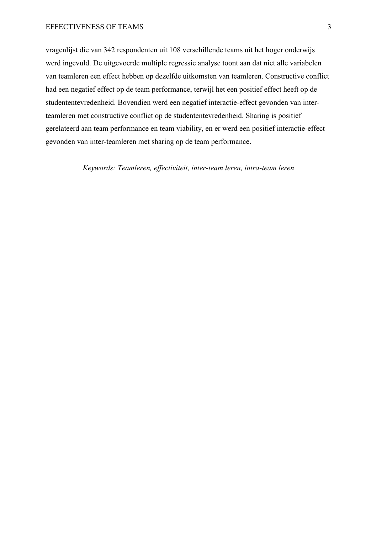vragenlijst die van 342 respondenten uit 108 verschillende teams uit het hoger onderwijs werd ingevuld. De uitgevoerde multiple regressie analyse toont aan dat niet alle variabelen van teamleren een effect hebben op dezelfde uitkomsten van teamleren. Constructive conflict had een negatief effect op de team performance, terwijl het een positief effect heeft op de studententevredenheid. Bovendien werd een negatief interactie-effect gevonden van interteamleren met constructive conflict op de studententevredenheid. Sharing is positief gerelateerd aan team performance en team viability, en er werd een positief interactie-effect gevonden van inter-teamleren met sharing op de team performance.

*Keywords: Teamleren, effectiviteit, inter-team leren, intra-team leren*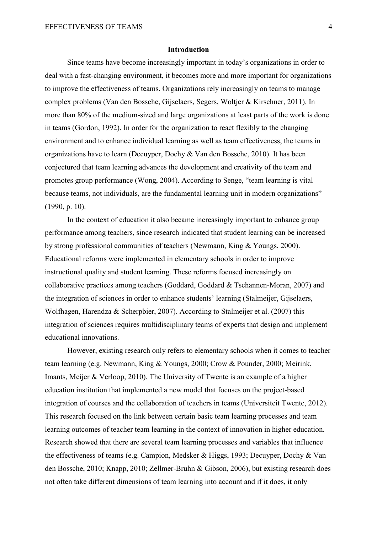#### **Introduction**

Since teams have become increasingly important in today's organizations in order to deal with a fast-changing environment, it becomes more and more important for organizations to improve the effectiveness of teams. Organizations rely increasingly on teams to manage complex problems (Van den Bossche, Gijselaers, Segers, Woltjer & Kirschner, 2011). In more than 80% of the medium-sized and large organizations at least parts of the work is done in teams (Gordon, 1992). In order for the organization to react flexibly to the changing environment and to enhance individual learning as well as team effectiveness, the teams in organizations have to learn (Decuyper, Dochy & Van den Bossche, 2010). It has been conjectured that team learning advances the development and creativity of the team and promotes group performance (Wong, 2004). According to Senge, "team learning is vital because teams, not individuals, are the fundamental learning unit in modern organizations" (1990, p. 10).

In the context of education it also became increasingly important to enhance group performance among teachers, since research indicated that student learning can be increased by strong professional communities of teachers (Newmann, King & Youngs, 2000). Educational reforms were implemented in elementary schools in order to improve instructional quality and student learning. These reforms focused increasingly on collaborative practices among teachers (Goddard, Goddard & Tschannen-Moran, 2007) and the integration of sciences in order to enhance students' learning (Stalmeijer, Gijselaers, Wolfhagen, Harendza & Scherpbier, 2007). According to Stalmeijer et al. (2007) this integration of sciences requires multidisciplinary teams of experts that design and implement educational innovations.

However, existing research only refers to elementary schools when it comes to teacher team learning (e.g. Newmann, King & Youngs, 2000; Crow & Pounder, 2000; Meirink, Imants, Meijer & Verloop, 2010). The University of Twente is an example of a higher education institution that implemented a new model that focuses on the project-based integration of courses and the collaboration of teachers in teams (Universiteit Twente, 2012). This research focused on the link between certain basic team learning processes and team learning outcomes of teacher team learning in the context of innovation in higher education. Research showed that there are several team learning processes and variables that influence the effectiveness of teams (e.g. Campion, Medsker & Higgs, 1993; Decuyper, Dochy & Van den Bossche, 2010; Knapp, 2010; Zellmer-Bruhn & Gibson, 2006), but existing research does not often take different dimensions of team learning into account and if it does, it only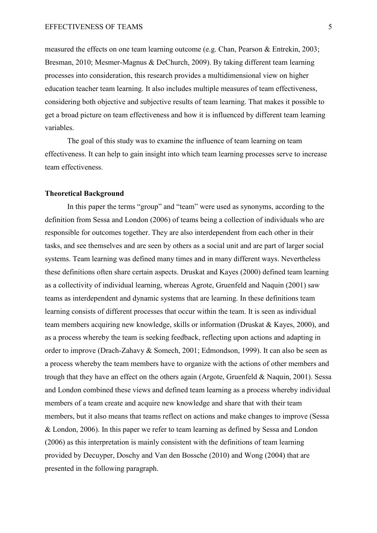measured the effects on one team learning outcome (e.g. Chan, Pearson & Entrekin, 2003; Bresman, 2010; Mesmer-Magnus & DeChurch, 2009). By taking different team learning processes into consideration, this research provides a multidimensional view on higher education teacher team learning. It also includes multiple measures of team effectiveness, considering both objective and subjective results of team learning. That makes it possible to get a broad picture on team effectiveness and how it is influenced by different team learning variables.

The goal of this study was to examine the influence of team learning on team effectiveness. It can help to gain insight into which team learning processes serve to increase team effectiveness.

#### **Theoretical Background**

In this paper the terms "group" and "team" were used as synonyms, according to the definition from Sessa and London (2006) of teams being a collection of individuals who are responsible for outcomes together. They are also interdependent from each other in their tasks, and see themselves and are seen by others as a social unit and are part of larger social systems. Team learning was defined many times and in many different ways. Nevertheless these definitions often share certain aspects. Druskat and Kayes (2000) defined team learning as a collectivity of individual learning, whereas Agrote, Gruenfeld and Naquin (2001) saw teams as interdependent and dynamic systems that are learning. In these definitions team learning consists of different processes that occur within the team. It is seen as individual team members acquiring new knowledge, skills or information (Druskat & Kayes, 2000), and as a process whereby the team is seeking feedback, reflecting upon actions and adapting in order to improve (Drach-Zahavy & Somech, 2001; Edmondson, 1999). It can also be seen as a process whereby the team members have to organize with the actions of other members and trough that they have an effect on the others again (Argote, Gruenfeld & Naquin, 2001). Sessa and London combined these views and defined team learning as a process whereby individual members of a team create and acquire new knowledge and share that with their team members, but it also means that teams reflect on actions and make changes to improve (Sessa & London, 2006). In this paper we refer to team learning as defined by Sessa and London (2006) as this interpretation is mainly consistent with the definitions of team learning provided by Decuyper, Doschy and Van den Bossche (2010) and Wong (2004) that are presented in the following paragraph.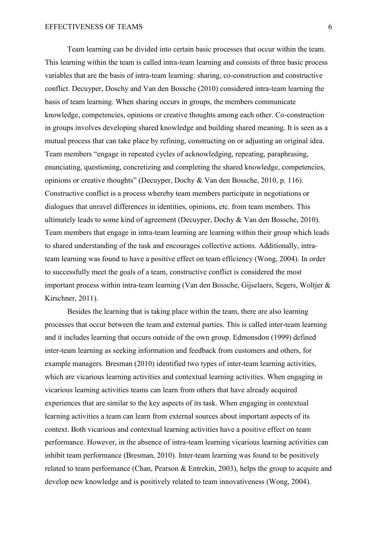Team learning can be divided into certain basic processes that occur within the team. This learning within the team is called intra-team learning and consists of three basic process variables that are the basis of intra-team learning: sharing, co-construction and constructive conflict. Decuyper, Doschy and Van den Bossche (2010) considered intra-team learning the basis of team learning. When sharing occurs in groups, the members communicate knowledge, competencies, opinions or creative thoughts among each other. Co-construction in groups involves developing shared knowledge and building shared meaning. It is seen as a mutual process that can take place by refining, constructing on or adjusting an original idea. Team members "engage in repeated cycles of acknowledging, repeating, paraphrasing, enunciating, questioning, concretizing and completing the shared knowledge, competencies, opinions or creative thoughts" (Decuyper, Dochy & Van den Bossche, 2010, p. 116). Constructive conflict is a process whereby team members participate in negotiations or dialogues that unravel differences in identities, opinions, etc. from team members. This ultimately leads to some kind of agreement (Decuyper, Dochy & Van den Bossche, 2010). Team members that engage in intra-team learning are learning within their group which leads to shared understanding of the task and encourages collective actions. Additionally, intrateam learning was found to have a positive effect on team efficiency (Wong, 2004). In order to successfully meet the goals of a team, constructive conflict is considered the most important process within intra-team learning (Van den Bossche, Gijselaers, Segers, Woltjer & Kirschner, 2011).

 Besides the learning that is taking place within the team, there are also learning processes that occur between the team and external parties. This is called inter-team learning and it includes learning that occurs outside of the own group. Edmonsdon (1999) defined inter-team learning as seeking information and feedback from customers and others, for example managers. Bresman (2010) identified two types of inter-team learning activities, which are vicarious learning activities and contextual learning activities. When engaging in vicarious learning activities teams can learn from others that have already acquired experiences that are similar to the key aspects of its task. When engaging in contextual learning activities a team can learn from external sources about important aspects of its context. Both vicarious and contextual learning activities have a positive effect on team performance. However, in the absence of intra-team learning vicarious learning activities can inhibit team performance (Bresman, 2010). Inter-team learning was found to be positively related to team performance (Chan, Pearson & Entrekin, 2003), helps the group to acquire and develop new knowledge and is positively related to team innovativeness (Wong, 2004).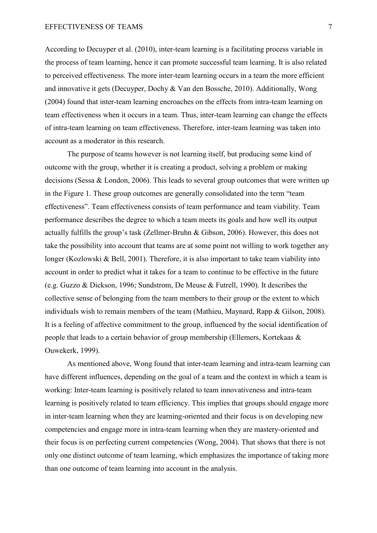#### EFFECTIVENESS OF TEAMS 7

According to Decuyper et al. (2010), inter-team learning is a facilitating process variable in the process of team learning, hence it can promote successful team learning. It is also related to perceived effectiveness. The more inter-team learning occurs in a team the more efficient and innovative it gets (Decuyper, Dochy & Van den Bossche, 2010). Additionally, Wong (2004) found that inter-team learning encroaches on the effects from intra-team learning on team effectiveness when it occurs in a team. Thus, inter-team learning can change the effects of intra-team learning on team effectiveness. Therefore, inter-team learning was taken into account as a moderator in this research.

 The purpose of teams however is not learning itself, but producing some kind of outcome with the group, whether it is creating a product, solving a problem or making decisions (Sessa & London, 2006). This leads to several group outcomes that were written up in the Figure 1. These group outcomes are generally consolidated into the term "team effectiveness". Team effectiveness consists of team performance and team viability. Team performance describes the degree to which a team meets its goals and how well its output actually fulfills the group's task (Zellmer-Bruhn & Gibson, 2006). However, this does not take the possibility into account that teams are at some point not willing to work together any longer (Kozlowski & Bell, 2001). Therefore, it is also important to take team viability into account in order to predict what it takes for a team to continue to be effective in the future (e.g. Guzzo & Dickson, 1996; Sundstrom, De Meuse & Futrell, 1990). It describes the collective sense of belonging from the team members to their group or the extent to which individuals wish to remain members of the team (Mathieu, Maynard, Rapp & Gilson, 2008). It is a feeling of affective commitment to the group, influenced by the social identification of people that leads to a certain behavior of group membership (Ellemers, Kortekaas & Ouwekerk, 1999).

As mentioned above, Wong found that inter-team learning and intra-team learning can have different influences, depending on the goal of a team and the context in which a team is working: Inter-team learning is positively related to team innovativeness and intra-team learning is positively related to team efficiency. This implies that groups should engage more in inter-team learning when they are learning-oriented and their focus is on developing new competencies and engage more in intra-team learning when they are mastery-oriented and their focus is on perfecting current competencies (Wong, 2004). That shows that there is not only one distinct outcome of team learning, which emphasizes the importance of taking more than one outcome of team learning into account in the analysis.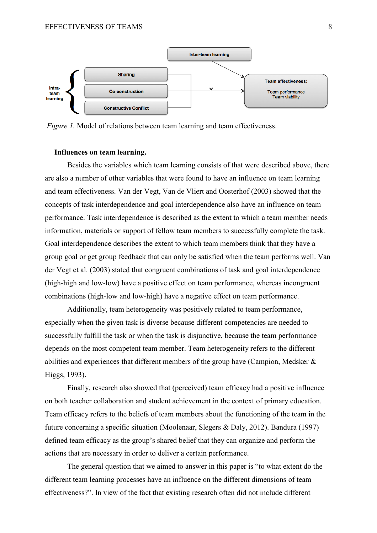

*Figure 1.* Model of relations between team learning and team effectiveness.

#### **Influences on team learning.**

Besides the variables which team learning consists of that were described above, there are also a number of other variables that were found to have an influence on team learning and team effectiveness. Van der Vegt, Van de Vliert and Oosterhof (2003) showed that the concepts of task interdependence and goal interdependence also have an influence on team performance. Task interdependence is described as the extent to which a team member needs information, materials or support of fellow team members to successfully complete the task. Goal interdependence describes the extent to which team members think that they have a group goal or get group feedback that can only be satisfied when the team performs well. Van der Vegt et al. (2003) stated that congruent combinations of task and goal interdependence (high-high and low-low) have a positive effect on team performance, whereas incongruent combinations (high-low and low-high) have a negative effect on team performance.

Additionally, team heterogeneity was positively related to team performance, especially when the given task is diverse because different competencies are needed to successfully fulfill the task or when the task is disjunctive, because the team performance depends on the most competent team member. Team heterogeneity refers to the different abilities and experiences that different members of the group have (Campion, Medsker & Higgs, 1993).

 Finally, research also showed that (perceived) team efficacy had a positive influence on both teacher collaboration and student achievement in the context of primary education. Team efficacy refers to the beliefs of team members about the functioning of the team in the future concerning a specific situation (Moolenaar, Slegers & Daly, 2012). Bandura (1997) defined team efficacy as the group's shared belief that they can organize and perform the actions that are necessary in order to deliver a certain performance.

 The general question that we aimed to answer in this paper is "to what extent do the different team learning processes have an influence on the different dimensions of team effectiveness?". In view of the fact that existing research often did not include different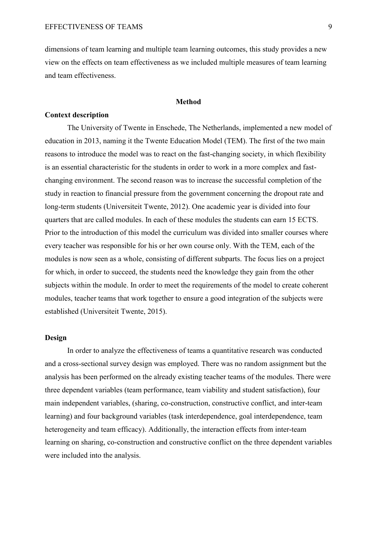dimensions of team learning and multiple team learning outcomes, this study provides a new view on the effects on team effectiveness as we included multiple measures of team learning and team effectiveness.

#### **Method**

#### **Context description**

The University of Twente in Enschede, The Netherlands, implemented a new model of education in 2013, naming it the Twente Education Model (TEM). The first of the two main reasons to introduce the model was to react on the fast-changing society, in which flexibility is an essential characteristic for the students in order to work in a more complex and fastchanging environment. The second reason was to increase the successful completion of the study in reaction to financial pressure from the government concerning the dropout rate and long-term students (Universiteit Twente, 2012). One academic year is divided into four quarters that are called modules. In each of these modules the students can earn 15 ECTS. Prior to the introduction of this model the curriculum was divided into smaller courses where every teacher was responsible for his or her own course only. With the TEM, each of the modules is now seen as a whole, consisting of different subparts. The focus lies on a project for which, in order to succeed, the students need the knowledge they gain from the other subjects within the module. In order to meet the requirements of the model to create coherent modules, teacher teams that work together to ensure a good integration of the subjects were established (Universiteit Twente, 2015).

#### **Design**

In order to analyze the effectiveness of teams a quantitative research was conducted and a cross-sectional survey design was employed. There was no random assignment but the analysis has been performed on the already existing teacher teams of the modules. There were three dependent variables (team performance, team viability and student satisfaction), four main independent variables, (sharing, co-construction, constructive conflict, and inter-team learning) and four background variables (task interdependence, goal interdependence, team heterogeneity and team efficacy). Additionally, the interaction effects from inter-team learning on sharing, co-construction and constructive conflict on the three dependent variables were included into the analysis.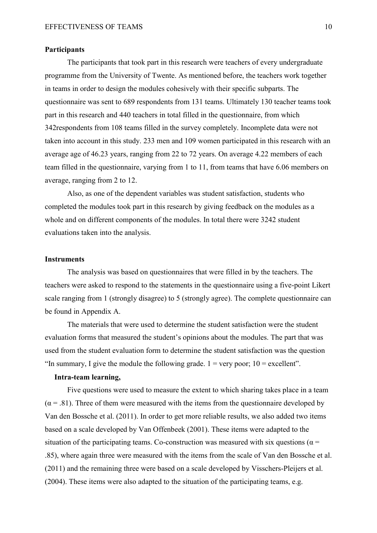#### **Participants**

The participants that took part in this research were teachers of every undergraduate programme from the University of Twente. As mentioned before, the teachers work together in teams in order to design the modules cohesively with their specific subparts. The questionnaire was sent to 689 respondents from 131 teams. Ultimately 130 teacher teams took part in this research and 440 teachers in total filled in the questionnaire, from which 342respondents from 108 teams filled in the survey completely. Incomplete data were not taken into account in this study. 233 men and 109 women participated in this research with an average age of 46.23 years, ranging from 22 to 72 years. On average 4.22 members of each team filled in the questionnaire, varying from 1 to 11, from teams that have 6.06 members on average, ranging from 2 to 12.

 Also, as one of the dependent variables was student satisfaction, students who completed the modules took part in this research by giving feedback on the modules as a whole and on different components of the modules. In total there were 3242 student evaluations taken into the analysis.

#### **Instruments**

The analysis was based on questionnaires that were filled in by the teachers. The teachers were asked to respond to the statements in the questionnaire using a five-point Likert scale ranging from 1 (strongly disagree) to 5 (strongly agree). The complete questionnaire can be found in Appendix A.

 The materials that were used to determine the student satisfaction were the student evaluation forms that measured the student's opinions about the modules. The part that was used from the student evaluation form to determine the student satisfaction was the question "In summary, I give the module the following grade.  $1 = \text{very poor}$ ;  $10 = \text{excellent}$ ".

#### **Intra-team learning,**

Five questions were used to measure the extent to which sharing takes place in a team  $(\alpha = .81)$ . Three of them were measured with the items from the questionnaire developed by Van den Bossche et al. (2011). In order to get more reliable results, we also added two items based on a scale developed by Van Offenbeek (2001). These items were adapted to the situation of the participating teams. Co-construction was measured with six questions ( $\alpha$  = .85), where again three were measured with the items from the scale of Van den Bossche et al. (2011) and the remaining three were based on a scale developed by Visschers-Pleijers et al. (2004). These items were also adapted to the situation of the participating teams, e.g.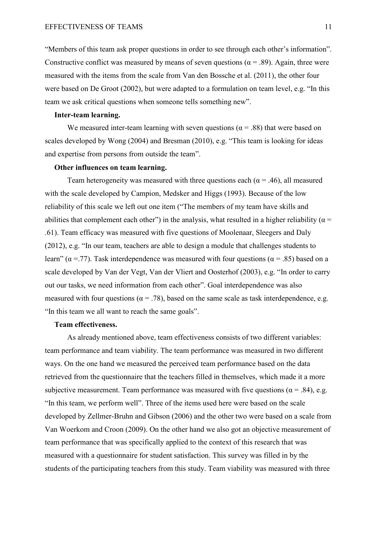"Members of this team ask proper questions in order to see through each other's information". Constructive conflict was measured by means of seven questions ( $\alpha$  = .89). Again, three were measured with the items from the scale from Van den Bossche et al. (2011), the other four were based on De Groot (2002), but were adapted to a formulation on team level, e.g. "In this team we ask critical questions when someone tells something new".

#### **Inter-team learning.**

We measured inter-team learning with seven questions ( $\alpha$  = .88) that were based on scales developed by Wong (2004) and Bresman (2010), e.g. "This team is looking for ideas and expertise from persons from outside the team".

#### **Other influences on team learning.**

Team heterogeneity was measured with three questions each ( $\alpha$  = .46), all measured with the scale developed by Campion, Medsker and Higgs (1993). Because of the low reliability of this scale we left out one item ("The members of my team have skills and abilities that complement each other") in the analysis, what resulted in a higher reliability ( $\alpha$  = .61). Team efficacy was measured with five questions of Moolenaar, Sleegers and Daly (2012), e.g. "In our team, teachers are able to design a module that challenges students to learn" ( $\alpha$  = .77). Task interdependence was measured with four questions ( $\alpha$  = .85) based on a scale developed by Van der Vegt, Van der Vliert and Oosterhof (2003), e.g. "In order to carry out our tasks, we need information from each other". Goal interdependence was also measured with four questions ( $\alpha$  = .78), based on the same scale as task interdependence, e.g. "In this team we all want to reach the same goals".

#### **Team effectiveness.**

 As already mentioned above, team effectiveness consists of two different variables: team performance and team viability. The team performance was measured in two different ways. On the one hand we measured the perceived team performance based on the data retrieved from the questionnaire that the teachers filled in themselves, which made it a more subjective measurement. Team performance was measured with five questions ( $\alpha$  = .84), e.g. "In this team, we perform well". Three of the items used here were based on the scale developed by Zellmer-Bruhn and Gibson (2006) and the other two were based on a scale from Van Woerkom and Croon (2009). On the other hand we also got an objective measurement of team performance that was specifically applied to the context of this research that was measured with a questionnaire for student satisfaction. This survey was filled in by the students of the participating teachers from this study. Team viability was measured with three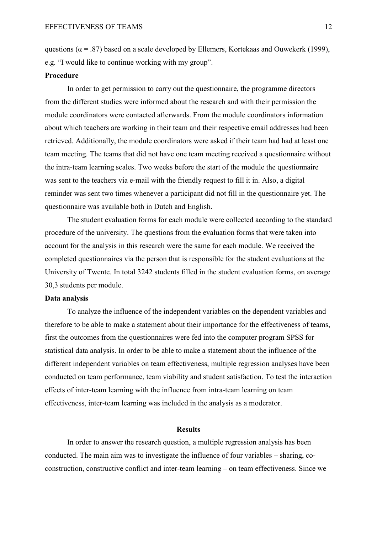questions ( $\alpha$  = .87) based on a scale developed by Ellemers, Kortekaas and Ouwekerk (1999), e.g. "I would like to continue working with my group".

#### **Procedure**

 In order to get permission to carry out the questionnaire, the programme directors from the different studies were informed about the research and with their permission the module coordinators were contacted afterwards. From the module coordinators information about which teachers are working in their team and their respective email addresses had been retrieved. Additionally, the module coordinators were asked if their team had had at least one team meeting. The teams that did not have one team meeting received a questionnaire without the intra-team learning scales. Two weeks before the start of the module the questionnaire was sent to the teachers via e-mail with the friendly request to fill it in. Also, a digital reminder was sent two times whenever a participant did not fill in the questionnaire yet. The questionnaire was available both in Dutch and English.

 The student evaluation forms for each module were collected according to the standard procedure of the university. The questions from the evaluation forms that were taken into account for the analysis in this research were the same for each module. We received the completed questionnaires via the person that is responsible for the student evaluations at the University of Twente. In total 3242 students filled in the student evaluation forms, on average 30,3 students per module.

#### **Data analysis**

 To analyze the influence of the independent variables on the dependent variables and therefore to be able to make a statement about their importance for the effectiveness of teams, first the outcomes from the questionnaires were fed into the computer program SPSS for statistical data analysis. In order to be able to make a statement about the influence of the different independent variables on team effectiveness, multiple regression analyses have been conducted on team performance, team viability and student satisfaction. To test the interaction effects of inter-team learning with the influence from intra-team learning on team effectiveness, inter-team learning was included in the analysis as a moderator.

#### **Results**

 In order to answer the research question, a multiple regression analysis has been conducted. The main aim was to investigate the influence of four variables – sharing, coconstruction, constructive conflict and inter-team learning – on team effectiveness. Since we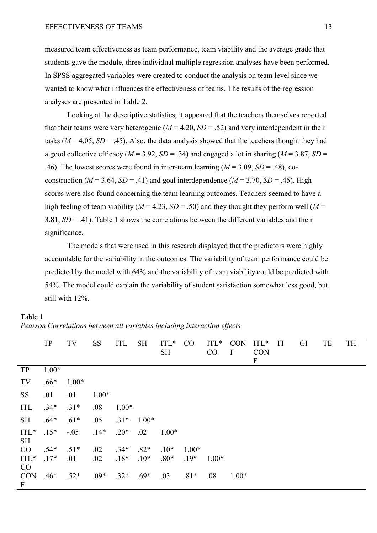measured team effectiveness as team performance, team viability and the average grade that students gave the module, three individual multiple regression analyses have been performed. In SPSS aggregated variables were created to conduct the analysis on team level since we wanted to know what influences the effectiveness of teams. The results of the regression analyses are presented in Table 2.

Looking at the descriptive statistics, it appeared that the teachers themselves reported that their teams were very heterogenic  $(M = 4.20, SD = .52)$  and very interdependent in their tasks ( $M = 4.05$ ,  $SD = .45$ ). Also, the data analysis showed that the teachers thought they had a good collective efficacy ( $M = 3.92$ ,  $SD = .34$ ) and engaged a lot in sharing ( $M = 3.87$ ,  $SD =$ .46). The lowest scores were found in inter-team learning  $(M = 3.09, SD = .48)$ , coconstruction ( $M = 3.64$ ,  $SD = .41$ ) and goal interdependence ( $M = 3.70$ ,  $SD = .45$ ). High scores were also found concerning the team learning outcomes. Teachers seemed to have a high feeling of team viability ( $M = 4.23$ ,  $SD = .50$ ) and they thought they perform well ( $M =$ 3.81, *SD* = .41). Table 1 shows the correlations between the different variables and their significance.

 The models that were used in this research displayed that the predictors were highly accountable for the variability in the outcomes. The variability of team performance could be predicted by the model with 64% and the variability of team viability could be predicted with 54%. The model could explain the variability of student satisfaction somewhat less good, but still with 12%.

|                        | <b>TP</b> | TV      | <b>SS</b> | <b>ITL</b> | <b>SH</b> | $\Pi L^*$ | CO      | $\Pi L^*$ | <b>CON</b>       | $\Pi L^*$        | TI | GI | TE | <b>TH</b> |
|------------------------|-----------|---------|-----------|------------|-----------|-----------|---------|-----------|------------------|------------------|----|----|----|-----------|
|                        |           |         |           |            |           | <b>SH</b> |         | CO        | $\boldsymbol{F}$ | <b>CON</b>       |    |    |    |           |
|                        |           |         |           |            |           |           |         |           |                  | $\boldsymbol{F}$ |    |    |    |           |
| TP                     | $1.00*$   |         |           |            |           |           |         |           |                  |                  |    |    |    |           |
| TV                     | $.66*$    | $1.00*$ |           |            |           |           |         |           |                  |                  |    |    |    |           |
| <b>SS</b>              | .01       | .01     | $1.00*$   |            |           |           |         |           |                  |                  |    |    |    |           |
| ITL                    | $.34*$    | $.31*$  | .08       | $1.00*$    |           |           |         |           |                  |                  |    |    |    |           |
| <b>SH</b>              | $.64*$    | $.61*$  | .05       | $.31*$     | $1.00*$   |           |         |           |                  |                  |    |    |    |           |
| $\Pi L^*$<br><b>SH</b> | $.15*$    | $-.05$  | $.14*$    | $.20*$     | .02       | $1.00*$   |         |           |                  |                  |    |    |    |           |
| CO                     | $.54*$    | $.51*$  | .02       | $.34*$     | $.82*$    | $.10*$    | $1.00*$ |           |                  |                  |    |    |    |           |
| ITL*                   | $.17*$    | .01     | .02       | $.18*$     | $.10*$    | $.80*$    | $.19*$  | $1.00*$   |                  |                  |    |    |    |           |
| CO                     |           |         |           |            |           |           |         |           |                  |                  |    |    |    |           |
| <b>CON</b>             | $.46*$    | $.52*$  | $.09*$    | $.32*$     | $.69*$    | .03       | $.81*$  | .08       | $1.00*$          |                  |    |    |    |           |
| $\boldsymbol{F}$       |           |         |           |            |           |           |         |           |                  |                  |    |    |    |           |

## Table 1

*Pearson Correlations between all variables including interaction effects*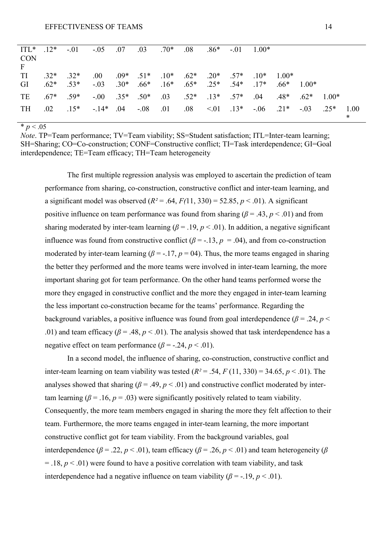| ITL* $.12*$                |                 | $-.01$ | $-0.05$ $0.07$ |                   | $.03 \t .70*$ |                                         | .08 | $.86*$               | $-.01$ | $1.00*$                                       |         |         |         |                |
|----------------------------|-----------------|--------|----------------|-------------------|---------------|-----------------------------------------|-----|----------------------|--------|-----------------------------------------------|---------|---------|---------|----------------|
| <b>CON</b><br>$\mathbf{F}$ |                 |        |                |                   |               |                                         |     |                      |        |                                               |         |         |         |                |
| TI                         | $.32*$          | $.32*$ | .00.           |                   |               | $.09*$ $.51*$ $.10*$                    |     | $.62*$ $.20*$ $.57*$ |        | $10*$                                         | $1.00*$ |         |         |                |
| GI                         | $.62*$          | $.53*$ | $-.03$         |                   |               | $.30^*$ $.66^*$ $.16^*$ $.65^*$ $.25^*$ |     |                      | $.54*$ | $17*$                                         | $.66*$  | $1.00*$ |         |                |
| TE                         | $.67^*$ $.59^*$ |        |                | $-0.00$ .35* .50* |               | $.03 \t .52* \t .13* \t .57*$           |     |                      |        | .04                                           | $.48*$  | $.62*$  | $1.00*$ |                |
| <b>TH</b>                  | $.02\,$         | $.15*$ | $-14*$ .04     |                   | $-.08$        | .01                                     |     |                      |        | $.08 \t\t < 01 \t\t .13* \t\t -.06 \t\t .21*$ |         | $-0.03$ | $0.25*$ | 1.00<br>$\ast$ |

 $* p < .05$ 

*Note*. TP=Team performance; TV=Team viability; SS=Student satisfaction; ITL=Inter-team learning; SH=Sharing; CO=Co-construction; CONF=Constructive conflict; TI=Task interdependence; GI=Goal interdependence; TE=Team efficacy; TH=Team heterogeneity

The first multiple regression analysis was employed to ascertain the prediction of team performance from sharing, co-construction, constructive conflict and inter-team learning, and a significant model was observed  $(R^2 = .64, F(11, 330) = 52.85, p < .01)$ . A significant positive influence on team performance was found from sharing ( $\beta$  = .43,  $p$  < .01) and from sharing moderated by inter-team learning ( $\beta$  = .19,  $p$  < .01). In addition, a negative significant influence was found from constructive conflict ( $\beta$  = -.13,  $p$  = .04), and from co-construction moderated by inter-team learning ( $\beta$  = -.17,  $p$  = 04). Thus, the more teams engaged in sharing the better they performed and the more teams were involved in inter-team learning, the more important sharing got for team performance. On the other hand teams performed worse the more they engaged in constructive conflict and the more they engaged in inter-team learning the less important co-construction became for the teams' performance. Regarding the background variables, a positive influence was found from goal interdependence ( $\beta$  = .24, *p* < .01) and team efficacy ( $\beta$  = .48,  $p$  < .01). The analysis showed that task interdependence has a negative effect on team performance  $(\beta = -0.24, p < 0.01)$ .

 In a second model, the influence of sharing, co-construction, constructive conflict and inter-team learning on team viability was tested  $(R^2 = .54, F(11, 330) = 34.65, p < .01)$ . The analyses showed that sharing ( $\beta$  = .49,  $p$  < .01) and constructive conflict moderated by intertam learning ( $\beta$  = .16,  $p$  = .03) were significantly positively related to team viability. Consequently, the more team members engaged in sharing the more they felt affection to their team. Furthermore, the more teams engaged in inter-team learning, the more important constructive conflict got for team viability. From the background variables, goal interdependence ( $\beta$  = .22,  $p$  < .01), team efficacy ( $\beta$  = .26,  $p$  < .01) and team heterogeneity ( $\beta$  $=$  .18,  $p$  < .01) were found to have a positive correlation with team viability, and task interdependence had a negative influence on team viability  $(\beta = -19, p < 01)$ .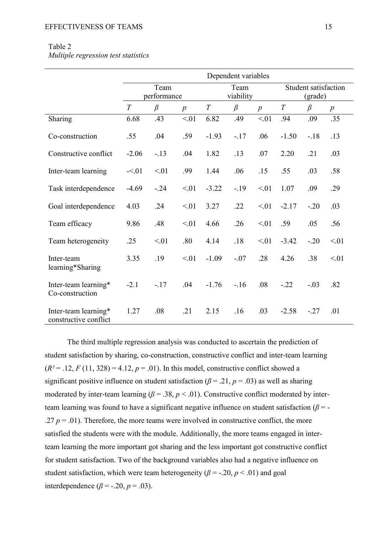### Table 2

*Multiple regression test statistics* 

|                                               |                     |         |                  |         | Dependent variables |                  |          |                                 |                  |  |
|-----------------------------------------------|---------------------|---------|------------------|---------|---------------------|------------------|----------|---------------------------------|------------------|--|
|                                               | Team<br>performance |         |                  |         | Team<br>viability   |                  |          | Student satisfaction<br>(grade) |                  |  |
|                                               | T                   | $\beta$ | $\boldsymbol{p}$ | T       | $\beta$             | $\boldsymbol{p}$ | $\cal T$ | $\beta$                         | $\boldsymbol{p}$ |  |
| Sharing                                       | 6.68                | .43     | < 01             | 6.82    | .49                 | < 01             | .94      | .09                             | .35              |  |
| Co-construction                               | .55                 | .04     | .59              | $-1.93$ | $-.17$              | .06              | $-1.50$  | $-.18$                          | .13              |  |
| Constructive conflict                         | $-2.06$             | $-.13$  | .04              | 1.82    | .13                 | .07              | 2.20     | .21                             | .03              |  |
| Inter-team learning                           | $-5.01$             | < 01    | .99              | 1.44    | .06                 | .15              | .55      | .03                             | .58              |  |
| Task interdependence                          | $-4.69$             | $-.24$  | < 01             | $-3.22$ | $-.19$              | < 01             | 1.07     | .09                             | .29              |  |
| Goal interdependence                          | 4.03                | .24     | < 01             | 3.27    | .22                 | < 01             | $-2.17$  | $-.20$                          | .03              |  |
| Team efficacy                                 | 9.86                | .48     | < 01             | 4.66    | .26                 | < 01             | .59      | .05                             | .56              |  |
| Team heterogeneity                            | .25                 | < 01    | .80              | 4.14    | .18                 | < 01             | $-3.42$  | $-.20$                          | < 01             |  |
| Inter-team<br>learning*Sharing                | 3.35                | .19     | < 01             | $-1.09$ | $-.07$              | .28              | 4.26     | .38                             | < 01             |  |
| Inter-team learning*<br>Co-construction       | $-2.1$              | $-17$   | .04              | $-1.76$ | $-16$               | .08              | $-22$    | $-.03$                          | .82              |  |
| Inter-team learning*<br>constructive conflict | 1.27                | .08     | .21              | 2.15    | .16                 | .03              | $-2.58$  | $-.27$                          | .01              |  |

The third multiple regression analysis was conducted to ascertain the prediction of student satisfaction by sharing, co-construction, constructive conflict and inter-team learning  $(R^2 = .12, F(11, 328) = 4.12, p = .01)$ . In this model, constructive conflict showed a significant positive influence on student satisfaction ( $\beta$  = .21,  $p$  = .03) as well as sharing moderated by inter-team learning ( $\beta$  = .38,  $p$  < .01). Constructive conflict moderated by interteam learning was found to have a significant negative influence on student satisfaction (*β* = - .27  $p = .01$ ). Therefore, the more teams were involved in constructive conflict, the more satisfied the students were with the module. Additionally, the more teams engaged in interteam learning the more important got sharing and the less important got constructive conflict for student satisfaction. Two of the background variables also had a negative influence on student satisfaction, which were team heterogeneity ( $\beta$  = -.20,  $p$  < .01) and goal interdependence ( $\beta$  = -.20,  $p$  = .03).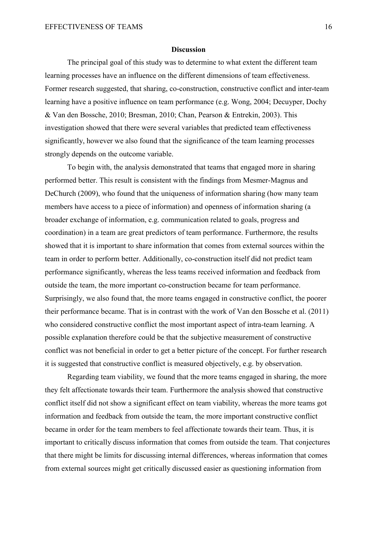#### **Discussion**

The principal goal of this study was to determine to what extent the different team learning processes have an influence on the different dimensions of team effectiveness. Former research suggested, that sharing, co-construction, constructive conflict and inter-team learning have a positive influence on team performance (e.g. Wong, 2004; Decuyper, Dochy & Van den Bossche, 2010; Bresman, 2010; Chan, Pearson & Entrekin, 2003). This investigation showed that there were several variables that predicted team effectiveness significantly, however we also found that the significance of the team learning processes strongly depends on the outcome variable.

To begin with, the analysis demonstrated that teams that engaged more in sharing performed better. This result is consistent with the findings from Mesmer-Magnus and DeChurch (2009), who found that the uniqueness of information sharing (how many team members have access to a piece of information) and openness of information sharing (a broader exchange of information, e.g. communication related to goals, progress and coordination) in a team are great predictors of team performance. Furthermore, the results showed that it is important to share information that comes from external sources within the team in order to perform better. Additionally, co-construction itself did not predict team performance significantly, whereas the less teams received information and feedback from outside the team, the more important co-construction became for team performance. Surprisingly, we also found that, the more teams engaged in constructive conflict, the poorer their performance became. That is in contrast with the work of Van den Bossche et al. (2011) who considered constructive conflict the most important aspect of intra-team learning. A possible explanation therefore could be that the subjective measurement of constructive conflict was not beneficial in order to get a better picture of the concept. For further research it is suggested that constructive conflict is measured objectively, e.g. by observation.

Regarding team viability, we found that the more teams engaged in sharing, the more they felt affectionate towards their team. Furthermore the analysis showed that constructive conflict itself did not show a significant effect on team viability, whereas the more teams got information and feedback from outside the team, the more important constructive conflict became in order for the team members to feel affectionate towards their team. Thus, it is important to critically discuss information that comes from outside the team. That conjectures that there might be limits for discussing internal differences, whereas information that comes from external sources might get critically discussed easier as questioning information from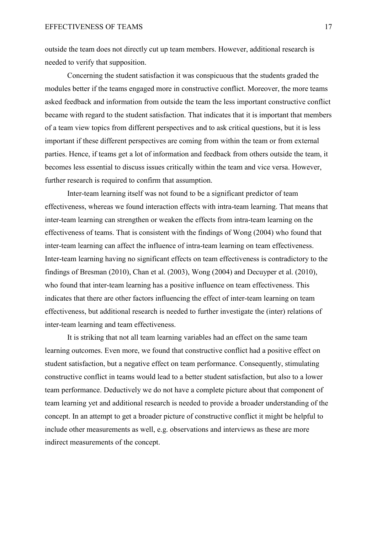outside the team does not directly cut up team members. However, additional research is needed to verify that supposition.

Concerning the student satisfaction it was conspicuous that the students graded the modules better if the teams engaged more in constructive conflict. Moreover, the more teams asked feedback and information from outside the team the less important constructive conflict became with regard to the student satisfaction. That indicates that it is important that members of a team view topics from different perspectives and to ask critical questions, but it is less important if these different perspectives are coming from within the team or from external parties. Hence, if teams get a lot of information and feedback from others outside the team, it becomes less essential to discuss issues critically within the team and vice versa. However, further research is required to confirm that assumption.

Inter-team learning itself was not found to be a significant predictor of team effectiveness, whereas we found interaction effects with intra-team learning. That means that inter-team learning can strengthen or weaken the effects from intra-team learning on the effectiveness of teams. That is consistent with the findings of Wong (2004) who found that inter-team learning can affect the influence of intra-team learning on team effectiveness. Inter-team learning having no significant effects on team effectiveness is contradictory to the findings of Bresman (2010), Chan et al. (2003), Wong (2004) and Decuyper et al. (2010), who found that inter-team learning has a positive influence on team effectiveness. This indicates that there are other factors influencing the effect of inter-team learning on team effectiveness, but additional research is needed to further investigate the (inter) relations of inter-team learning and team effectiveness.

It is striking that not all team learning variables had an effect on the same team learning outcomes. Even more, we found that constructive conflict had a positive effect on student satisfaction, but a negative effect on team performance. Consequently, stimulating constructive conflict in teams would lead to a better student satisfaction, but also to a lower team performance. Deductively we do not have a complete picture about that component of team learning yet and additional research is needed to provide a broader understanding of the concept. In an attempt to get a broader picture of constructive conflict it might be helpful to include other measurements as well, e.g. observations and interviews as these are more indirect measurements of the concept.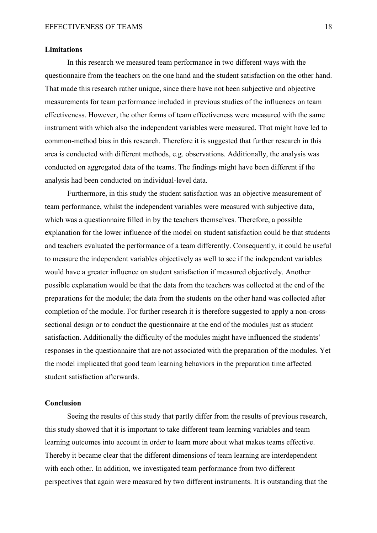#### **Limitations**

In this research we measured team performance in two different ways with the questionnaire from the teachers on the one hand and the student satisfaction on the other hand. That made this research rather unique, since there have not been subjective and objective measurements for team performance included in previous studies of the influences on team effectiveness. However, the other forms of team effectiveness were measured with the same instrument with which also the independent variables were measured. That might have led to common-method bias in this research. Therefore it is suggested that further research in this area is conducted with different methods, e.g. observations. Additionally, the analysis was conducted on aggregated data of the teams. The findings might have been different if the analysis had been conducted on individual-level data.

 Furthermore, in this study the student satisfaction was an objective measurement of team performance, whilst the independent variables were measured with subjective data, which was a questionnaire filled in by the teachers themselves. Therefore, a possible explanation for the lower influence of the model on student satisfaction could be that students and teachers evaluated the performance of a team differently. Consequently, it could be useful to measure the independent variables objectively as well to see if the independent variables would have a greater influence on student satisfaction if measured objectively. Another possible explanation would be that the data from the teachers was collected at the end of the preparations for the module; the data from the students on the other hand was collected after completion of the module. For further research it is therefore suggested to apply a non-crosssectional design or to conduct the questionnaire at the end of the modules just as student satisfaction. Additionally the difficulty of the modules might have influenced the students' responses in the questionnaire that are not associated with the preparation of the modules. Yet the model implicated that good team learning behaviors in the preparation time affected student satisfaction afterwards.

#### **Conclusion**

Seeing the results of this study that partly differ from the results of previous research, this study showed that it is important to take different team learning variables and team learning outcomes into account in order to learn more about what makes teams effective. Thereby it became clear that the different dimensions of team learning are interdependent with each other. In addition, we investigated team performance from two different perspectives that again were measured by two different instruments. It is outstanding that the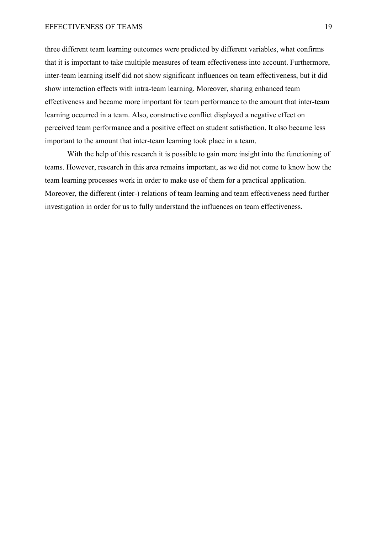#### EFFECTIVENESS OF TEAMS 19

three different team learning outcomes were predicted by different variables, what confirms that it is important to take multiple measures of team effectiveness into account. Furthermore, inter-team learning itself did not show significant influences on team effectiveness, but it did show interaction effects with intra-team learning. Moreover, sharing enhanced team effectiveness and became more important for team performance to the amount that inter-team learning occurred in a team. Also, constructive conflict displayed a negative effect on perceived team performance and a positive effect on student satisfaction. It also became less important to the amount that inter-team learning took place in a team.

With the help of this research it is possible to gain more insight into the functioning of teams. However, research in this area remains important, as we did not come to know how the team learning processes work in order to make use of them for a practical application. Moreover, the different (inter-) relations of team learning and team effectiveness need further investigation in order for us to fully understand the influences on team effectiveness.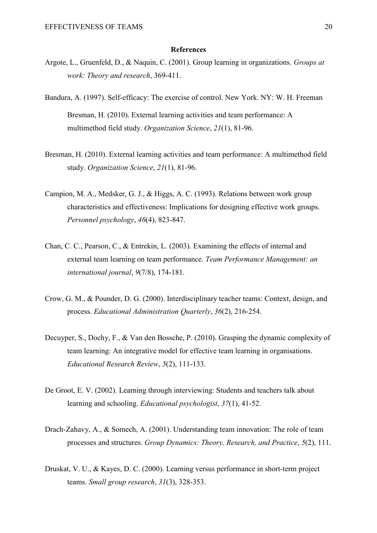#### **References**

- Argote, L., Gruenfeld, D., & Naquin, C. (2001). Group learning in organizations. *Groups at work: Theory and research*, 369-411.
- Bandura, A. (1997). Self-efficacy: The exercise of control. New York. NY: W. H. Freeman. Bresman, H. (2010). External learning activities and team performance: A multimethod field study. *Organization Science*, *21*(1), 81-96.
- Bresman, H. (2010). External learning activities and team performance: A multimethod field study. *Organization Science*, *21*(1), 81-96.
- Campion, M. A., Medsker, G. J., & Higgs, A. C. (1993). Relations between work group characteristics and effectiveness: Implications for designing effective work groups. *Personnel psychology*, *46*(4), 823-847.
- Chan, C. C., Pearson, C., & Entrekin, L. (2003). Examining the effects of internal and external team learning on team performance. *Team Performance Management: an international journal*, *9*(7/8), 174-181.
- Crow, G. M., & Pounder, D. G. (2000). Interdisciplinary teacher teams: Context, design, and process. *Educational Administration Quarterly*, *36*(2), 216-254.
- Decuyper, S., Dochy, F., & Van den Bossche, P. (2010). Grasping the dynamic complexity of team learning: An integrative model for effective team learning in organisations. *Educational Research Review*, *5*(2), 111-133.
- De Groot, E. V. (2002). Learning through interviewing: Students and teachers talk about learning and schooling. *Educational psychologist*, *37*(1), 41-52.
- Drach-Zahavy, A., & Somech, A. (2001). Understanding team innovation: The role of team processes and structures. *Group Dynamics: Theory, Research, and Practice*, *5*(2), 111.
- Druskat, V. U., & Kayes, D. C. (2000). Learning versus performance in short-term project teams. *Small group research*, *31*(3), 328-353.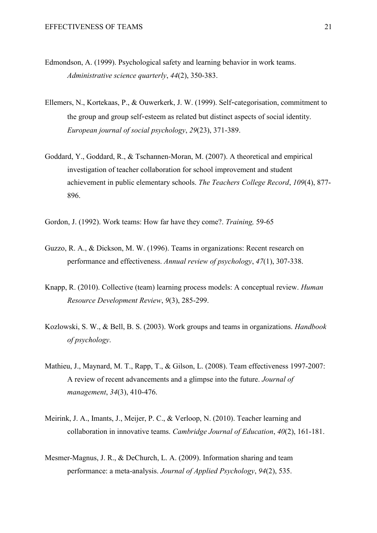- Edmondson, A. (1999). Psychological safety and learning behavior in work teams. *Administrative science quarterly*, *44*(2), 350-383.
- Ellemers, N., Kortekaas, P., & Ouwerkerk, J. W. (1999). Self‐categorisation, commitment to the group and group self‐esteem as related but distinct aspects of social identity. *European journal of social psychology*, *29*(23), 371-389.
- Goddard, Y., Goddard, R., & Tschannen-Moran, M. (2007). A theoretical and empirical investigation of teacher collaboration for school improvement and student achievement in public elementary schools. *The Teachers College Record*, *109*(4), 877- 896.
- Gordon, J. (1992). Work teams: How far have they come?. *Training,* 59-65
- Guzzo, R. A., & Dickson, M. W. (1996). Teams in organizations: Recent research on performance and effectiveness. *Annual review of psychology*, *47*(1), 307-338.
- Knapp, R. (2010). Collective (team) learning process models: A conceptual review. *Human Resource Development Review*, *9*(3), 285-299.
- Kozlowski, S. W., & Bell, B. S. (2003). Work groups and teams in organizations. *Handbook of psychology*.
- Mathieu, J., Maynard, M. T., Rapp, T., & Gilson, L. (2008). Team effectiveness 1997-2007: A review of recent advancements and a glimpse into the future. *Journal of management*, *34*(3), 410-476.
- Meirink, J. A., Imants, J., Meijer, P. C., & Verloop, N. (2010). Teacher learning and collaboration in innovative teams. *Cambridge Journal of Education*, *40*(2), 161-181.
- Mesmer-Magnus, J. R., & DeChurch, L. A. (2009). Information sharing and team performance: a meta-analysis. *Journal of Applied Psychology*, *94*(2), 535.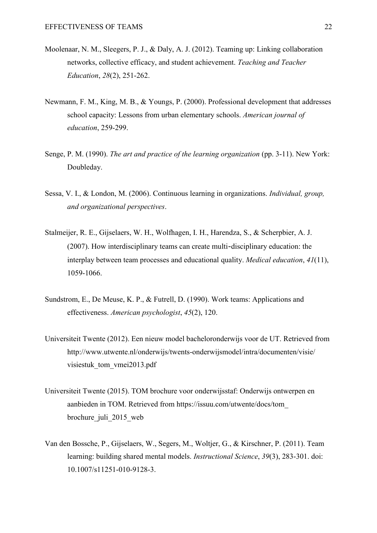- Moolenaar, N. M., Sleegers, P. J., & Daly, A. J. (2012). Teaming up: Linking collaboration networks, collective efficacy, and student achievement. *Teaching and Teacher Education*, *28*(2), 251-262.
- Newmann, F. M., King, M. B., & Youngs, P. (2000). Professional development that addresses school capacity: Lessons from urban elementary schools. *American journal of education*, 259-299.
- Senge, P. M. (1990). *The art and practice of the learning organization* (pp. 3-11). New York: Doubleday.
- Sessa, V. I., & London, M. (2006). Continuous learning in organizations. *Individual, group, and organizational perspectives*.
- Stalmeijer, R. E., Gijselaers, W. H., Wolfhagen, I. H., Harendza, S., & Scherpbier, A. J. (2007). How interdisciplinary teams can create multi‐disciplinary education: the interplay between team processes and educational quality. *Medical education*, *41*(11), 1059-1066.
- Sundstrom, E., De Meuse, K. P., & Futrell, D. (1990). Work teams: Applications and effectiveness. *American psychologist*, *45*(2), 120.
- Universiteit Twente (2012). Een nieuw model bacheloronderwijs voor de UT. Retrieved from http://www.utwente.nl/onderwijs/twents-onderwijsmodel/intra/documenten/visie/ visiestuk\_tom\_vmei2013.pdf
- Universiteit Twente (2015). TOM brochure voor onderwijsstaf: Onderwijs ontwerpen en aanbieden in TOM. Retrieved from https://issuu.com/utwente/docs/tom\_ brochure\_juli\_2015\_web
- Van den Bossche, P., Gijselaers, W., Segers, M., Woltjer, G., & Kirschner, P. (2011). Team learning: building shared mental models. *Instructional Science*, *39*(3), 283-301. doi: 10.1007/s11251-010-9128-3.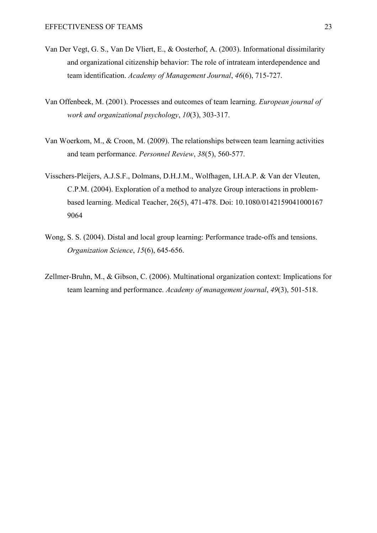- Van Der Vegt, G. S., Van De Vliert, E., & Oosterhof, A. (2003). Informational dissimilarity and organizational citizenship behavior: The role of intrateam interdependence and team identification. *Academy of Management Journal*, *46*(6), 715-727.
- Van Offenbeek, M. (2001). Processes and outcomes of team learning. *European journal of work and organizational psychology*, *10*(3), 303-317.
- Van Woerkom, M., & Croon, M. (2009). The relationships between team learning activities and team performance. *Personnel Review*, *38*(5), 560-577.
- Visschers-Pleijers, A.J.S.F., Dolmans, D.H.J.M., Wolfhagen, I.H.A.P. & Van der Vleuten, C.P.M. (2004). Exploration of a method to analyze Group interactions in problem based learning. Medical Teacher, 26(5), 471-478. Doi: 10.1080/0142159041000167 9064
- Wong, S. S. (2004). Distal and local group learning: Performance trade-offs and tensions. *Organization Science*, *15*(6), 645-656.
- Zellmer-Bruhn, M., & Gibson, C. (2006). Multinational organization context: Implications for team learning and performance. *Academy of management journal*, *49*(3), 501-518.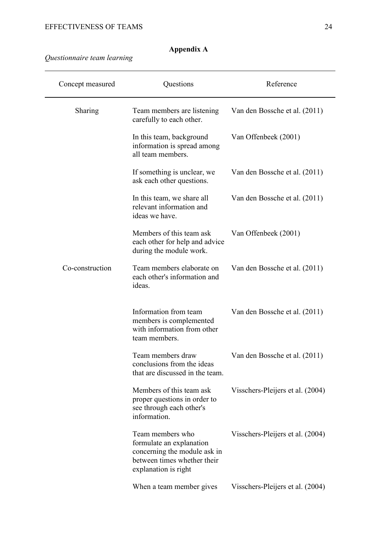| Concept measured | Questions                                                                                                                           | Reference                        |
|------------------|-------------------------------------------------------------------------------------------------------------------------------------|----------------------------------|
| Sharing          | Team members are listening<br>carefully to each other.                                                                              | Van den Bossche et al. (2011)    |
|                  | In this team, background<br>information is spread among<br>all team members.                                                        | Van Offenbeek (2001)             |
|                  | If something is unclear, we<br>ask each other questions.                                                                            | Van den Bossche et al. (2011)    |
|                  | In this team, we share all<br>relevant information and<br>ideas we have.                                                            | Van den Bossche et al. (2011)    |
|                  | Members of this team ask<br>each other for help and advice<br>during the module work.                                               | Van Offenbeek (2001)             |
| Co-construction  | Team members elaborate on<br>each other's information and<br>ideas.                                                                 | Van den Bossche et al. (2011)    |
|                  | Information from team<br>members is complemented<br>with information from other<br>team members.                                    | Van den Bossche et al. (2011)    |
|                  | Team members draw<br>conclusions from the ideas<br>that are discussed in the team.                                                  | Van den Bossche et al. (2011)    |
|                  | Members of this team ask<br>proper questions in order to<br>see through each other's<br>information.                                | Visschers-Pleijers et al. (2004) |
|                  | Team members who<br>formulate an explanation<br>concerning the module ask in<br>between times whether their<br>explanation is right | Visschers-Pleijers et al. (2004) |
|                  | When a team member gives                                                                                                            | Visschers-Pleijers et al. (2004) |

## **Appendix A**

*Questionnaire team learning*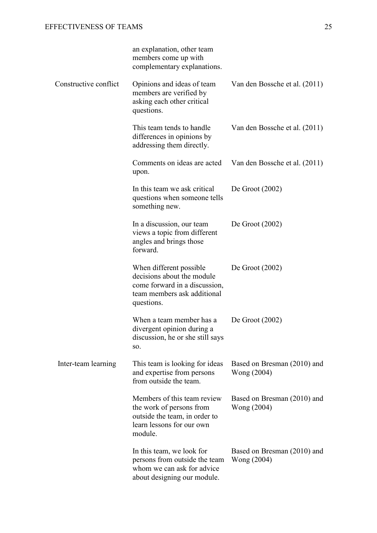|                       | an explanation, other team<br>members come up with<br>complementary explanations.                                                    |                                            |
|-----------------------|--------------------------------------------------------------------------------------------------------------------------------------|--------------------------------------------|
| Constructive conflict | Opinions and ideas of team<br>members are verified by<br>asking each other critical<br>questions.                                    | Van den Bossche et al. (2011)              |
|                       | This team tends to handle<br>differences in opinions by<br>addressing them directly.                                                 | Van den Bossche et al. (2011)              |
|                       | Comments on ideas are acted<br>upon.                                                                                                 | Van den Bossche et al. (2011)              |
|                       | In this team we ask critical<br>questions when someone tells<br>something new.                                                       | De Groot $(2002)$                          |
|                       | In a discussion, our team<br>views a topic from different<br>angles and brings those<br>forward.                                     | De Groot $(2002)$                          |
|                       | When different possible.<br>decisions about the module<br>come forward in a discussion,<br>team members ask additional<br>questions. | De Groot $(2002)$                          |
|                       | When a team member has a<br>divergent opinion during a<br>discussion, he or she still says<br>SO.                                    | De Groot $(2002)$                          |
| Inter-team learning   | This team is looking for ideas<br>and expertise from persons<br>from outside the team.                                               | Based on Bresman (2010) and<br>Wong (2004) |
|                       | Members of this team review<br>the work of persons from<br>outside the team, in order to<br>learn lessons for our own<br>module.     | Based on Bresman (2010) and<br>Wong (2004) |
|                       | In this team, we look for<br>persons from outside the team<br>whom we can ask for advice<br>about designing our module.              | Based on Bresman (2010) and<br>Wong (2004) |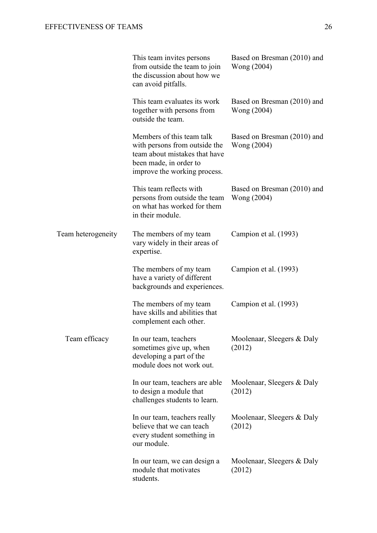|                    | This team invites persons<br>from outside the team to join<br>the discussion about how we<br>can avoid pitfalls.                                      | Based on Bresman (2010) and<br>Wong (2004) |
|--------------------|-------------------------------------------------------------------------------------------------------------------------------------------------------|--------------------------------------------|
|                    | This team evaluates its work<br>together with persons from<br>outside the team.                                                                       | Based on Bresman (2010) and<br>Wong (2004) |
|                    | Members of this team talk<br>with persons from outside the<br>team about mistakes that have<br>been made, in order to<br>improve the working process. | Based on Bresman (2010) and<br>Wong (2004) |
|                    | This team reflects with<br>persons from outside the team<br>on what has worked for them<br>in their module.                                           | Based on Bresman (2010) and<br>Wong (2004) |
| Team heterogeneity | The members of my team<br>vary widely in their areas of<br>expertise.                                                                                 | Campion et al. (1993)                      |
|                    | The members of my team<br>have a variety of different<br>backgrounds and experiences.                                                                 | Campion et al. (1993)                      |
|                    | The members of my team<br>have skills and abilities that<br>complement each other.                                                                    | Campion et al. (1993)                      |
| Team efficacy      | In our team, teachers<br>sometimes give up, when<br>developing a part of the<br>module does not work out.                                             | Moolenaar, Sleegers & Daly<br>(2012)       |
|                    | In our team, teachers are able<br>to design a module that<br>challenges students to learn.                                                            | Moolenaar, Sleegers & Daly<br>(2012)       |
|                    | In our team, teachers really<br>believe that we can teach<br>every student something in<br>our module.                                                | Moolenaar, Sleegers & Daly<br>(2012)       |
|                    | In our team, we can design a<br>module that motivates<br>students.                                                                                    | Moolenaar, Sleegers & Daly<br>(2012)       |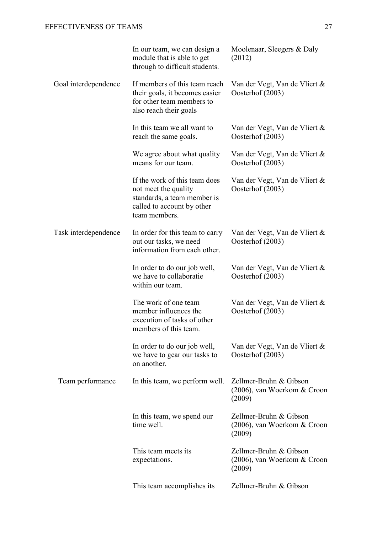|                      | In our team, we can design a<br>module that is able to get<br>through to difficult students.                                        | Moolenaar, Sleegers & Daly<br>(2012)                            |
|----------------------|-------------------------------------------------------------------------------------------------------------------------------------|-----------------------------------------------------------------|
| Goal interdependence | If members of this team reach<br>their goals, it becomes easier<br>for other team members to<br>also reach their goals              | Van der Vegt, Van de Vliert &<br>Oosterhof (2003)               |
|                      | In this team we all want to<br>reach the same goals.                                                                                | Van der Vegt, Van de Vliert &<br>Oosterhof (2003)               |
|                      | We agree about what quality<br>means for our team.                                                                                  | Van der Vegt, Van de Vliert &<br>Oosterhof (2003)               |
|                      | If the work of this team does<br>not meet the quality<br>standards, a team member is<br>called to account by other<br>team members. | Van der Vegt, Van de Vliert &<br>Oosterhof (2003)               |
| Task interdependence | In order for this team to carry<br>out our tasks, we need<br>information from each other.                                           | Van der Vegt, Van de Vliert &<br>Oosterhof (2003)               |
|                      | In order to do our job well,<br>we have to collaboratie<br>within our team.                                                         | Van der Vegt, Van de Vliert &<br>Oosterhof (2003)               |
|                      | The work of one team<br>member influences the<br>execution of tasks of other<br>members of this team.                               | Van der Vegt, Van de Vliert &<br>Oosterhof (2003)               |
|                      | In order to do our job well,<br>we have to gear our tasks to<br>on another.                                                         | Van der Vegt, Van de Vliert &<br>Oosterhof (2003)               |
| Team performance     | In this team, we perform well.                                                                                                      | Zellmer-Bruhn & Gibson<br>(2006), van Woerkom & Croon<br>(2009) |
|                      | In this team, we spend our<br>time well.                                                                                            | Zellmer-Bruhn & Gibson<br>(2006), van Woerkom & Croon<br>(2009) |
|                      | This team meets its<br>expectations.                                                                                                | Zellmer-Bruhn & Gibson<br>(2006), van Woerkom & Croon<br>(2009) |
|                      | This team accomplishes its                                                                                                          | Zellmer-Bruhn & Gibson                                          |